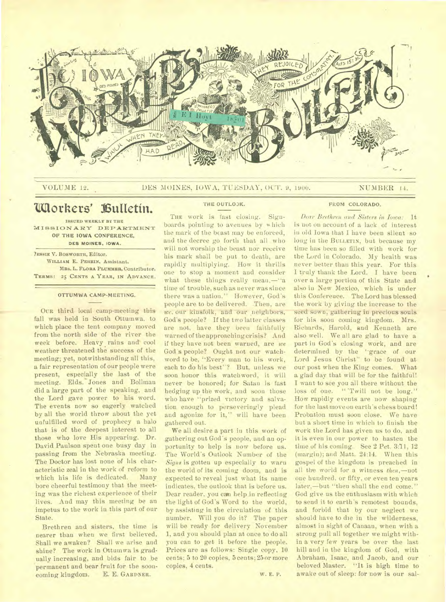

VOLUME 12. DES MOINES, IOWA, TUESDAY, OCT. 9, 1900. NUMBER 14.

# **Ullorkers' Bulletin.**

**ISSUED WEEKLY BY THE MISSIONARY DEPARTMENT OF THE IOWA CONFERENCE, DES MOINES. IOWA.** 

**7ESSIE V. BOSWORTH, Editor. WILLIAM E. PERRIN. Assistant.**  MRS. L. FLORA PLUMMER, Contributor. **TERMS: 25 CENTS A YEAR, IN ADVANCE.** 

### **OTTUMWA CAMP-MEETING.**

**OUR** third local camp-meeting this fall was held in South Ottumwa. to which place the tent company moved from the north side of the river the week before. Heavy rains and cool weather threatened the success of the meeting; yet, notwithstanding all this, a fair representation of our people were present, especially the last of the meeting. Elds. Jones and Bollmau did a large part of the speaking, and the Lord gave power to his word. The events now so eagerly watched by all the world throw about the yet unfulfilled word of prophecy a halo that is of the deepest interest to all those who love His appearing. Dr. David Paulson spent one busy day in passing from the Nebraska meeting. The Doctor has lost none of his characteristic zeal in the work of reform to<br>which his life is dedicated. Many which his life is dedicated. bore cheerful testimony that the meeting was the richest experience of their lives. And may this meeting be an impetus to the work iu this part of our State.

Brethren and sisters, the time is nearer than when we first believed. Shall we awaken? Shall we arise and shine? The work in Ottumwa is gradually increasing, and bids fair to be permanent and bear fruit for the sooncoming kingdom. E. E. **GARDNER.** 

### **THE OUTLO3K.**

**THE** work is fast closing. Signboards pointing to avenues by which the mark of the beast may be enforced, and the decree go forth that all who will not worship the beast nor receive his mark shall be put to death, are rapidly multiplying. How it thrills one to stop a moment and consider what these things really mean,—"a time of trouble, such as never was since there was a nation." However, God's people are to be delivered. Then, are *we*, our kinsfolk, and our neighbors, God's people? If the two latter classes are not, have they been faithfully warned of the approaching crisis? And if they have not been warned, are we God's people? Ought not our watchword to be, "Every mau to his work, each to do his best"? But, unless we soon honor this watchword, it will never be honored; for Satan is fast hedging up the work, and soon those who have "prized victory and salvation enough to perseveringly plead and agonize for it," will have been gathered out.

We all desire a part iu this work of gathering out God's people, and an opportunity to help is now before us. The World's Outlook Number of the *Signs* is gotten up especially to warn the world of its coming doom, and is expected to reveal just what its name indicates, the outlook that is before us. Dear reader, you can help in reflecting the light of God's Word to the world, by assisting in the circulation of this number. Will you do it? The paper will be ready for delivery November 1, and you should plan at once to do all you can to get it before the people. Prices are as follows: Single copy, 10 cents; 5 to 20 copies, 5 cents; 25 or more copies, 4 cents.

**FROM COLORADO.** 

*Dear Brethren and Sisters in Iowa:* It is not on account of a lack of interest iu old Iowa that I have been silent so long in the **BULLETIN,** but because my time has been so filled with work for the Lord in Colorado. My health was never better than this year. For this I truly thank the Lord. I have been over a large portion of this State and also in New Mexico, which is under this Conference. The Lord has blessed the work by giving the increase to the seed sown, gathering in precious souls for his soon coming kingdom. Mrs. Richards, Harold, and Kenneth are also well. We all are glad to have a part in God's closing work, and are determined by the "grace of our Lord Jesus Christ" to be found at our post when the King comes. What a glad day that will be for the faithful! I want to see you all there without the loss of one. " 'Twill not be long." How rapidly events are now shaping for the last move on earth's chess board! Probation must soon close. We have but a short time in which to finish the work the Lord has given us to do, and it is even in our power to hasten the time of his coming. See 2 Pet. 3:11, 12 (margin); and Matt. 24:14. When this gospel of the kingdom is preached in all the world for a witness *then,—not*  one hundred. or fifty, or even ten years later,—but "then shall the end come." God give us the enthusiasm with which to send it to earth's remotest bounds, and forbid that by our neglect we should have to die in the wilderness, almost in sight of Canaan, when with a strong pull all together we might within a very few years be over the last hill and in the kingdom of God, with Abraham, Isaac, and Jacob, and our beloved Master. "It is high time to awake out of sleep: for **now** is our sal-

**W. E. P.**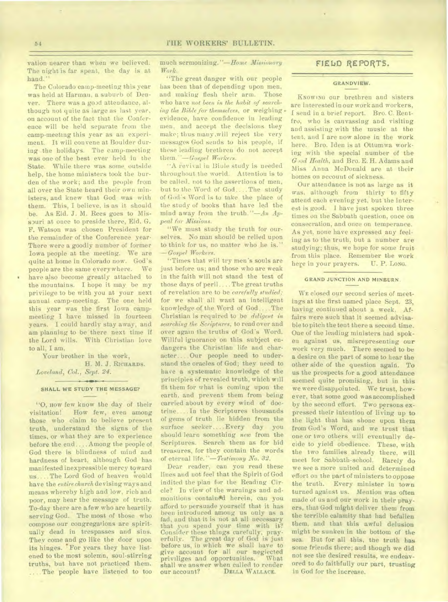vation nearer than when we believed. The night is far spent, the day is at hand."

The Colorado camp-meeting this year was held at Harman, a suburb of Denver. There was a good attendance, although not quite as large as last year, on account of the fact that the Conference will be held separate from the camp-meeting this year as an experiment. It will convene at Boulder during the holidays. The camp-meeting was one of the best ever held in the State. While there was some outside help, the home ministers took the burden of the work; and the people from all over the State heard their own ministers, and knew that God was with them. This, I believe, is as it should be. As Eld. J. M. Rees goes to Misspuri at once to preside there, Eld. G. F. Watson was chosen President for the remainder of the Conference year. There were a goodly number of former Iowa people at the meeting. We are quite at home in Colorado now. God's people are the same everywhere. We have also become greatly attached to the mountains. I hope it may be my privilege to be with you at your next annual camp-meeting. The one held this year was the first Iowa campmeeting I have missed in fourteen years. I could hardly stay away, and am planning to be there next time if the Lord wills. With Christian love to all, I am,

Your brother in the work,

H. M. J. RICHARDS. *Loveland, Col., Sept. 24.* 

### **SHALL WE STUDY THE MESSAGE?**

"O, **HOW** few know the day of their<br>visitation! How few, even among How few, even among those who claim to believe present truth, understand the signs of the times, or what they are to experience before the end .... Among the people of God there is blindness of mind and hardness of heart, although God has manifested inexpressible mercy toward us.... The Lord God of heaven would have the *entire church* devising ways and means whereby high and low, rich and poor, may hear the message of truth. To-day there are a few who are heartily serving God. The most of those who compose our congregations are spiritually dead in trespasses and sins. They come and go like the door upon its hinges. For years they have listened to the most solemn, soul-stirring truths, but have not practiced them. ..The people have listened to too

much sermonizing. *"—Home Missionary*  Work.

"The great danger with our people has been that of depending upon men, and making flesh their arm. Those who have *not been in the habit of searching the Bible for themselves,* or weighing . evidence, have confidence in leading men, and accept the decisions they make; thus many .will reject the very messages God sends to his people, if these leading brethren do not accept them.\*\*— *Gospel Workers.* 

"A revival in Biole study is needed throughout the world. Attention is to be called, not to the assertions of men, but to the Word of God.... The study of God's Word is to take the place of the study of books that have led the mind away from the truth."—An *Appeal for Missions.* 

"We must study the truth for ourselves. No man should be relied upon to think for us, no matter who he is." *—Gospel Workers.* 

"Times that will try men's souls are just before us; and those who are weak in the faith will not stand the test of those days of peril.... The great truths of revelation are to *be carefully studied;*  for we shall all want an intelligent knowledge of the Word of God.... The Christian is required to be *diligent in searching the Scriptures,* to read over and over again the truths of God's Word. Willful ignorance on this subject endangers the Christian life and character.. ..Our people need to understand the oracles of God; they need to have a systematic knowledge of the principles of revealed truth, which will fit them for what is coming upon the earth. and prevent them from being carried about by every wind of doctrine.... In the Scriptures thousands of gems of truth lie hidden from the surface seeker.... Every day you should learn something *new* from the Scriptures. Search them as for hid treasures, for they contain the words of eternal life. "-Testimony No. 32.

Dear reader, can you read these lines and not feel that the Spirit of God indited the plan for the Reading Circle? In view of the warnings and admonitions contained herein, can you afford to persuade yourself that it has been introduced among us only as a fad, and that it is not at all necessary that you spend your time with it? Consider these things carefully; prayerfully. The great day of God is just before us, in which we shall have to give account for all our neglected priviliges and opportunities. shall we answer when called to render<br>our account? DELLA WALLACE. DELLA WALLACE.

## FIELD REPORTS.

### **GRANDVIEW.**

KNOWING our brethren and sisters are interested in our work and workers, I send in a brief report. Bro. C. Rentfro, who is canvassing and visiting and assisting with the music at the tent, and I are now alone in the work here. Bro. Iden is at Ottumwa working with the special number of the *G ,od Health,* and Bro. E. H. Adams and Miss Anna McDonald are at their homes on account of sickness.

Our attendance is not as large as it was, although from thirty to fifty attend each evening yet, but the interest is good. I have just spoken three times on the Sabbath question, once on consecration, and once on temperance. As yet, none have expressed any feeling as to the truth, but a number are studying; thus, we hope for some fruit from this place. Remember the work here in your prayers. U. P. Long.

### **GRAND JUNCTION AND MINBURN.**

**WE** closed our second series of meetings at the first named place Sept. 23, having continued about a week. Affairs were such that it seemed advisable to pitch the tent there a second time. One of the leading ministers had spoken against us, misrepresenting our work very much. There seemed to be a desire on the part of some to hear *the*  other side of the question again. To us the prospects for a good attendance seemed quite promising, but in this we were disappointed. We trust, however, that some good was accomplished by the second effort. Two persons expressed their intention of living up to the light that has shone upon them from God's Word, and we trust *that*  one or two others will eventually decide to yield obedience. These, with the two families already there, will meet for Sabbath-school. Rarely do we see a more united and determined effort on the part of ministers to oppose the truth. Every minister in town turned against us. Mention was often made of us and our work in their prayers, that God might deliver them from the terrible calamity that had befallen them, and that this awful delusion might be sunken in the bottom of the sea. But for all this, the truth has some friends there; and though we did not see the desired results, we endeavored to do faithfully our part, trusting in God for the increase.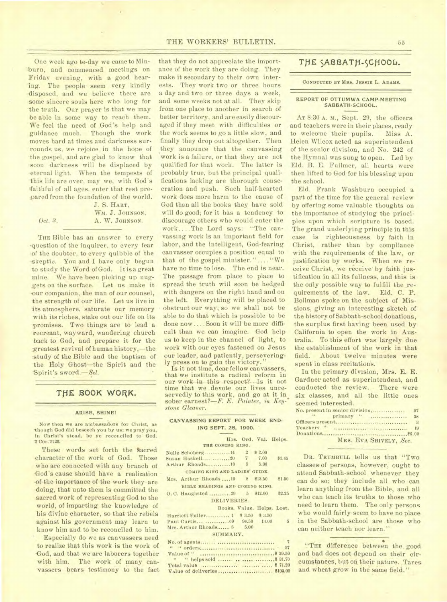One week ago to-day we came to Minburn, and commenced meetings on Friday evening, with a good hearing. The people-seem very kindly •disposed, and we believe there are some sincere souls here who long for the truth. Our prayer is that we may be able in some way to reach them. We feel the need of God's help and guidance much. Though the work moves hard at times and darkness surrounds us, we rejoice in the hope of the gospel, and are glad to know that soon darkness will be displaced by eternal light. When the tempests of this life are over, may we, with God's faithful of all ages, enter that rest pre-,pared from the foundation of the world.

J. S. HART, WM. J. JOHNSON. *Oct. 3.* **A. W. JOHNSON.** 

THE Bible has an answer to every -question of the inquirer, to every fear -of the doubter, to every quibble of the skeptic. You and I have only begun to study the Word of God. It is a great mine. We have been picking up nuggets on the surface. Let us make it -our companion, the man of our counsel, the strength of our life. Let us live in its atmosphere, saturate our memory with its riches, stake out our life on its promises. Two things are to lead a recreant, wayward, wandering church back to God, and prepare it for the greatest revival of human history,—the -study of the Bible and the baptism of the Holy Ghost-the Spirit and the Spirit's sword.-Sel.

### THE BOOK WORK.

#### ARISE, SHINE!

Now then we are ambassadors for Christ, as 'though God did beseech you by us; we pray you, In Christ's stead, be ye reconciled to God. 2 Cor. 5:20.

These words set forth the sacred character of the work of God. Those who are connected with any branch of God's cause should have a realization -of the importance of the work they- are doing, that unto them is committed the sacred work of representing God to the world, of imparting the knowledge of his divine character, so that the rebels against his government may learn to know him and to be reconciled to him.

• Especially do we as canvassers need to realize that this work is the work of .God, and that we are laborers together with him. The work of many canvassers bears testimony to the fact

that they do not appreciate the importance of the work they are doing. They make it secondary to their own interests. They work two or three hours a day and two or three days a week, and some weeks not at all. They skip from one place to another in search of better territory, and are easily discouraged if they meet with difficulties or the work seems to go a little slow, and finally they drop out altogether. Then they announce that the canvassing work is a failure, or that they are not qualified for that work. The latter is probably true, but the principal qualifications lacking are thorough consecration and push. Such half-hearted work does more harm to the cause of God than all the books they have sold will do good; for it has a tendency to discourage others who would enter the work ....The Lord says: "The canvassing work is an important field for labor, and the intelligent, God-fearing canvasser occupies a position equal to that of the gospel minister.".... "We have no time to lose. The end is near. The passage from place to place to spread the truth will soon be hedged with dangers on the right hand and on the left. Everything will be placed to obstruct our way, so we shall not be able to do that which is possible to be done now ....Soon it will be more difficult than we can imagine. God help us to keep in the channel of light, to work with our eyes fastened on Jesus our leader, and patiently, perseveringly press on to gain the victory.

Is it not time, dear fellow canvassers, that we institute a radical reform in our work in this respect?--Is it not time that we devote our lives unreservedly to this work, and go at it in sober earnest?—*F. E. Painter, in Key-*<sup>\*</sup> *stone Gleaner.* 

| ING SEPT. 28, 1900.<br>Hrs. Ord. Val. Helps.<br>THE COMING KING.<br>Nelle Schoberg14 2 \$2.00<br>Susan Haskell 20 7 7.00<br>\$1.45<br>5.00<br>COMING KING AND LADIES' GUIDE.<br>Mrs. Arthur Rhoads19 8 \$13.50<br>\$1.50<br>BIBLE READINGS AND COMING KING.<br>O. C. Haughsted  29 5 $$12.00$<br><b>R2.25</b><br>DELIVERIES.<br>Books. Value. Helps. Lost.<br>Harriett Fuller 1 \$ 3.50 \$ 3.50<br>5<br>Mrs. Arthur Rhoads 5 5.00<br>SUMMARY.<br>$\overline{7}$ | CANVASSING REPORT FOR WEEK END. |  |    |
|-----------------------------------------------------------------------------------------------------------------------------------------------------------------------------------------------------------------------------------------------------------------------------------------------------------------------------------------------------------------------------------------------------------------------------------------------------------------|---------------------------------|--|----|
|                                                                                                                                                                                                                                                                                                                                                                                                                                                                 |                                 |  |    |
|                                                                                                                                                                                                                                                                                                                                                                                                                                                                 |                                 |  |    |
|                                                                                                                                                                                                                                                                                                                                                                                                                                                                 |                                 |  |    |
|                                                                                                                                                                                                                                                                                                                                                                                                                                                                 |                                 |  |    |
|                                                                                                                                                                                                                                                                                                                                                                                                                                                                 |                                 |  |    |
|                                                                                                                                                                                                                                                                                                                                                                                                                                                                 |                                 |  |    |
|                                                                                                                                                                                                                                                                                                                                                                                                                                                                 |                                 |  |    |
|                                                                                                                                                                                                                                                                                                                                                                                                                                                                 |                                 |  |    |
|                                                                                                                                                                                                                                                                                                                                                                                                                                                                 |                                 |  |    |
|                                                                                                                                                                                                                                                                                                                                                                                                                                                                 |                                 |  |    |
|                                                                                                                                                                                                                                                                                                                                                                                                                                                                 |                                 |  |    |
|                                                                                                                                                                                                                                                                                                                                                                                                                                                                 |                                 |  |    |
|                                                                                                                                                                                                                                                                                                                                                                                                                                                                 |                                 |  |    |
|                                                                                                                                                                                                                                                                                                                                                                                                                                                                 |                                 |  |    |
|                                                                                                                                                                                                                                                                                                                                                                                                                                                                 |                                 |  |    |
|                                                                                                                                                                                                                                                                                                                                                                                                                                                                 |                                 |  |    |
|                                                                                                                                                                                                                                                                                                                                                                                                                                                                 |                                 |  |    |
|                                                                                                                                                                                                                                                                                                                                                                                                                                                                 |                                 |  |    |
|                                                                                                                                                                                                                                                                                                                                                                                                                                                                 |                                 |  | 27 |

### Value of \$ 39.50 " " helps sold \$ 31.70 Total value *.................. ........***...... \$ 71.20** Value of deliveries 2103.00

# THE SABBATH-SCHOOL.

#### **CONDUCTED BY MRS. JESSIE** L. **ADAMS.**

### REPORT OF OTTUMWA CAMP-MEETING SABBATH-SCHOOL.

AT 8:30 A. M., Sept. 29, the officers and teachers were in their places, ready to welcome their pupils. Miss A. Helen Wilcox acted as superintendent of the senior division, and No. 242 of the Hymnal was sung to open. Led by Eld. B. E. Fullmer, all hearts were then lifted to God for his blessing upon the school.

Eld. Frank Washburn occupied a part of the time for the general review *by* offering some valuable thoughts on the importance of studying the principles upon which scripture is based. The grand underlying principle in this case is righteousness by faith in Christ, rather than by compliance with the requirements of the law, or justification by works. When we receive Christ, we receive by faith justification in all its fullness, and this is the only possible way to fulfill the requirements of the law. Eld, C. P. Bollman spoke on the subject of Missions, giving an interesting sketch of the history of Sabbath-school donations, the surplus first having been used by California to open the work in Australia. To this effort was largely due the establishment of the work in that field. About twelve minutes were spent in class recitations.

In the primary division, Mrs. E. E. Gardner acted as superintendent, and conducted the review. There were six classes, and all the little ones seemed interested.

|               | No. present in senior division | 97           |
|---------------|--------------------------------|--------------|
| $-14$ , $-17$ | primary "                      | 38           |
|               |                                | $\mathbf{B}$ |
|               |                                | 19           |
|               |                                |              |
|               | MRS. EVA SHIVELY, Sec.         |              |

DR. TRUMBULL tells us that "Two classes of persons, however, ought to attend Sabbath-school whenever they can do so; they include all who can learn anything from the Bible, and all who can teach its truths to those who need to learn them. The only persons who would fairly- seem to have no place in the Sabbath-school are those who can neither teach nor learn."

"THE difference between the good and bad does not depend on their circumstances, but on, their nature. Tares and wheat grow in the same field."